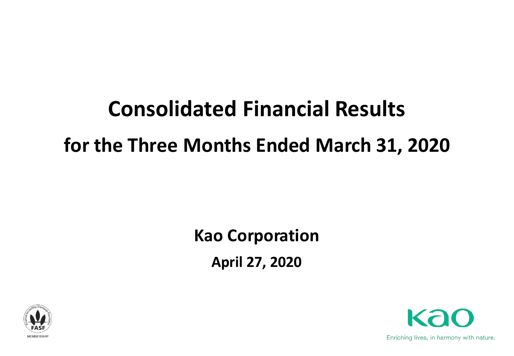# **Consolidated Financial Results for the Three Months Ended March 31, 2020**

## **Kao Corporation April 27, 2020**





Enriching lives, in harmony with nature.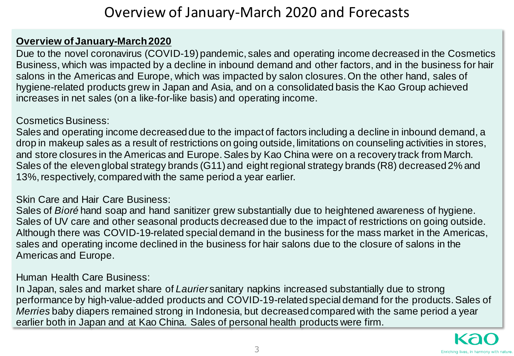### Overview of January-March 2020 and Forecasts

#### **Overview of January-March 2020**

Due to the novel coronavirus (COVID-19) pandemic, sales and operating income decreased in the Cosmetics Business, which was impacted by a decline in inbound demand and other factors, and in the business for hair salons in the Americas and Europe, which was impacted by salon closures. On the other hand, sales of hygiene-related products grew in Japan and Asia, and on a consolidated basis the Kao Group achieved increases in net sales (on a like-for-like basis) and operating income.

#### Cosmetics Business:

Sales and operating income decreased due to the impact of factors including a decline in inbound demand, a drop in makeup sales as a result of restrictions on going outside, limitations on counseling activities in stores, and store closures in the Americas and Europe. Sales by Kao China were on a recovery track from March. Sales of the eleven global strategy brands (G11) and eight regional strategy brands (R8) decreased 2% and 13%, respectively, compared with the same period a year earlier.

#### Skin Care and Hair Care Business:

Sales of *Bioré* hand soap and hand sanitizer grew substantially due to heightened awareness of hygiene. Sales of UV care and other seasonal products decreased due to the impact of restrictions on going outside. Although there was COVID-19-related special demand in the business for the mass market in the Americas, sales and operating income declined in the business for hair salons due to the closure of salons in the Americas and Europe.

#### Human Health Care Business:

In Japan, sales and market share of *Laurier* sanitary napkins increased substantially due to strong performance by high-value-added products and COVID-19-related special demand for the products. Sales of *Merries* baby diapers remained strong in Indonesia, but decreased compared with the same period a year earlier both in Japan and at Kao China. Sales of personal health products were firm.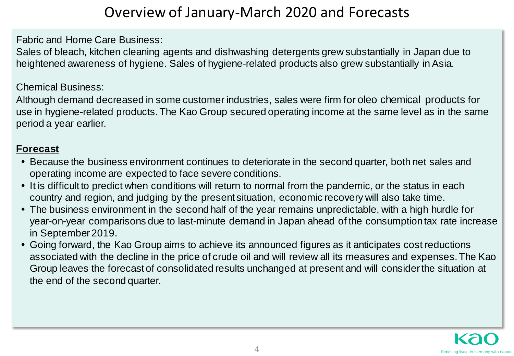### Overview of January-March 2020 and Forecasts

Fabric and Home Care Business:

Sales of bleach, kitchen cleaning agents and dishwashing detergents grew substantially in Japan due to heightened awareness of hygiene. Sales of hygiene-related products also grew substantially in Asia.

#### Chemical Business:

Although demand decreased in some customer industries, sales were firm for oleo chemical products for use in hygiene-related products. The Kao Group secured operating income at the same level as in the same period a year earlier.

#### **Forecast**

- Because the business environment continues to deteriorate in the second quarter, both net sales and operating income are expected to face severe conditions.
- It is difficult to predict when conditions will return to normal from the pandemic, or the status in each country and region, and judging by the present situation, economic recovery will also take time.
- The business environment in the second half of the year remains unpredictable, with a high hurdle for year-on-year comparisons due to last-minute demand in Japan ahead of the consumption tax rate increase in September 2019.
- Going forward, the Kao Group aims to achieve its announced figures as it anticipates cost reductions associated with the decline in the price of crude oil and will review all its measures and expenses. The Kao Group leaves the forecast of consolidated results unchanged at present and will consider the situation at the end of the second quarter.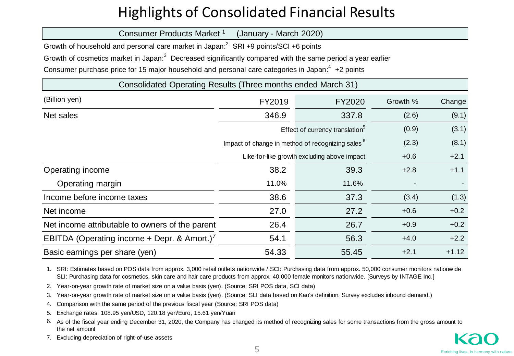### Highlights of Consolidated Financial Results

| Consumer Products Market 1<br>(January - March 2020)                                                                   |                                                              |        |          |         |  |  |  |  |  |  |  |  |
|------------------------------------------------------------------------------------------------------------------------|--------------------------------------------------------------|--------|----------|---------|--|--|--|--|--|--|--|--|
| Growth of household and personal care market in Japan: <sup>2</sup> SRI +9 points/SCI +6 points                        |                                                              |        |          |         |  |  |  |  |  |  |  |  |
| Growth of cosmetics market in Japan: <sup>3</sup> Decreased significantly compared with the same period a year earlier |                                                              |        |          |         |  |  |  |  |  |  |  |  |
| Consumer purchase price for 15 major household and personal care categories in Japan: <sup>4</sup> +2 points           |                                                              |        |          |         |  |  |  |  |  |  |  |  |
| Consolidated Operating Results (Three months ended March 31)                                                           |                                                              |        |          |         |  |  |  |  |  |  |  |  |
| (Billion yen)                                                                                                          | FY2019                                                       | FY2020 | Growth % | Change  |  |  |  |  |  |  |  |  |
| Net sales                                                                                                              | 346.9                                                        | 337.8  | (2.6)    | (9.1)   |  |  |  |  |  |  |  |  |
|                                                                                                                        | Effect of currency translation <sup>5</sup>                  |        |          |         |  |  |  |  |  |  |  |  |
|                                                                                                                        | Impact of change in method of recognizing sales <sup>6</sup> | (2.3)  | (8.1)    |         |  |  |  |  |  |  |  |  |
|                                                                                                                        | Like-for-like growth excluding above impact                  | $+0.6$ | $+2.1$   |         |  |  |  |  |  |  |  |  |
| Operating income                                                                                                       | 38.2                                                         | 39.3   | $+2.8$   | $+1.1$  |  |  |  |  |  |  |  |  |
| Operating margin                                                                                                       | 11.0%                                                        | 11.6%  |          |         |  |  |  |  |  |  |  |  |
| Income before income taxes                                                                                             | 38.6                                                         | 37.3   | (3.4)    | (1.3)   |  |  |  |  |  |  |  |  |
| Net income                                                                                                             | 27.0                                                         | 27.2   | $+0.6$   | $+0.2$  |  |  |  |  |  |  |  |  |
| Net income attributable to owners of the parent                                                                        | 26.4                                                         | 26.7   | $+0.9$   | $+0.2$  |  |  |  |  |  |  |  |  |
| EBITDA (Operating income + Depr. & Amort.) <sup>7</sup>                                                                | 54.1                                                         | 56.3   | $+4.0$   | $+2.2$  |  |  |  |  |  |  |  |  |
| Basic earnings per share (yen)                                                                                         | 54.33                                                        | 55.45  | $+2.1$   | $+1.12$ |  |  |  |  |  |  |  |  |

1. SRI: Estimates based on POS data from approx. 3,000 retail outlets nationwide / SCI: Purchasing data from approx. 50,000 consumer monitors nationwide SLI: Purchasing data for cosmetics, skin care and hair care products from approx. 40,000 female monitors nationwide. [Surveys by INTAGE Inc.]

2. Year-on-year growth rate of market size on a value basis (yen). (Source: SRI POS data, SCI data)

3. Year-on-year growth rate of market size on a value basis (yen). (Source: SLI data based on Kao's definition. Survey excludes inbound demand.)

4. Comparison with the same period of the previous fiscal year (Source: SRI POS data)

5. Exchange rates: 108.95 yen/USD, 120.18 yen/Euro, 15.61 yen/Yuan

6. As of the fiscal year ending December 31, 2020, the Company has changed its method of recognizing sales for some transactions from the gross amount to the net amount

7. Excluding depreciation of right-of-use assets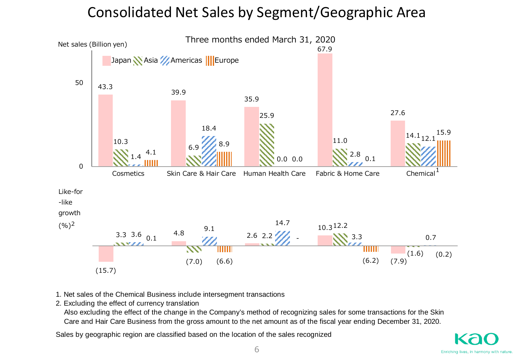### Consolidated Net Sales by Segment/Geographic Area



- 1. Net sales of the Chemical Business include intersegment transactions
- 2. Excluding the effect of currency translation

 Also excluding the effect of the change in the Company's method of recognizing sales for some transactions for the Skin Care and Hair Care Business from the gross amount to the net amount as of the fiscal year ending December 31, 2020.

Sales by geographic region are classified based on the location of the sales recognized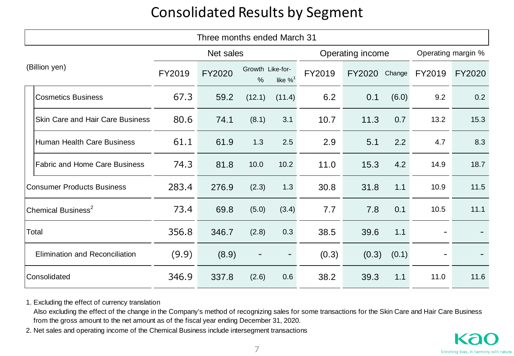### Consolidated Results by Segment

| Three months ended March 31           |                                         |           |        |                       |                        |        |        |                    |        |        |  |  |
|---------------------------------------|-----------------------------------------|-----------|--------|-----------------------|------------------------|--------|--------|--------------------|--------|--------|--|--|
|                                       |                                         | Net sales |        |                       | Operating income       |        |        | Operating margin % |        |        |  |  |
| (Billion yen)                         |                                         | FY2019    | FY2020 | Growth Like-for-<br>% | like $\%$ <sup>1</sup> | FY2019 | FY2020 | Change             | FY2019 | FY2020 |  |  |
|                                       | <b>Cosmetics Business</b>               | 67.3      | 59.2   | (12.1)                | (11.4)                 | 6.2    | 0.1    | (6.0)              | 9.2    | 0.2    |  |  |
|                                       | <b>Skin Care and Hair Care Business</b> | 80.6      | 74.1   | (8.1)                 | 3.1                    | 10.7   | 11.3   | 0.7                | 13.2   | 15.3   |  |  |
|                                       | <b>Human Health Care Business</b>       | 61.1      | 61.9   | 1.3                   | 2.5                    | 2.9    | 5.1    | 2.2                | 4.7    | 8.3    |  |  |
|                                       | <b>Fabric and Home Care Business</b>    | 74.3      | 81.8   | 10.0                  | 10.2                   | 11.0   | 15.3   | 4.2                | 14.9   | 18.7   |  |  |
| <b>Consumer Products Business</b>     |                                         | 283.4     | 276.9  | (2.3)                 | 1.3                    | 30.8   | 31.8   | 1.1                | 10.9   | 11.5   |  |  |
| Chemical Business <sup>2</sup>        |                                         | 73.4      | 69.8   | (5.0)                 | (3.4)                  | 7.7    | 7.8    | 0.1                | 10.5   | 11.1   |  |  |
| Total                                 |                                         | 356.8     | 346.7  | (2.8)                 | 0.3                    | 38.5   | 39.6   | 1.1                |        |        |  |  |
| <b>Elimination and Reconciliation</b> |                                         | (9.9)     | (8.9)  |                       |                        | (0.3)  | (0.3)  | (0.1)              |        |        |  |  |
| Consolidated                          |                                         | 346.9     | 337.8  | (2.6)                 | 0.6                    | 38.2   | 39.3   | 1.1                | 11.0   | 11.6   |  |  |

1. Excluding the effect of currency translation

 Also excluding the effect of the change in the Company's method of recognizing sales for some transactions for the Skin Care and Hair Care Business from the gross amount to the net amount as of the fiscal year ending December 31, 2020.

2. Net sales and operating income of the Chemical Business include intersegment transactions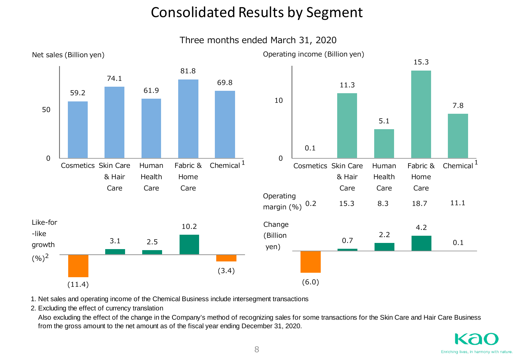### Consolidated Results by Segment

Three months ended March 31, 2020



1. Net sales and operating income of the Chemical Business include intersegment transactions

2. Excluding the effect of currency translation

 Also excluding the effect of the change in the Company's method of recognizing sales for some transactions for the Skin Care and Hair Care Business from the gross amount to the net amount as of the fiscal year ending December 31, 2020.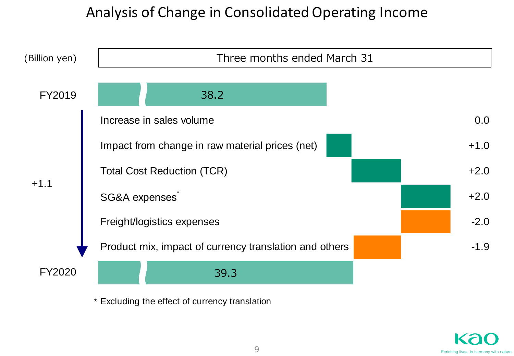### Analysis of Change in Consolidated Operating Income



\* Excluding the effect of currency translation